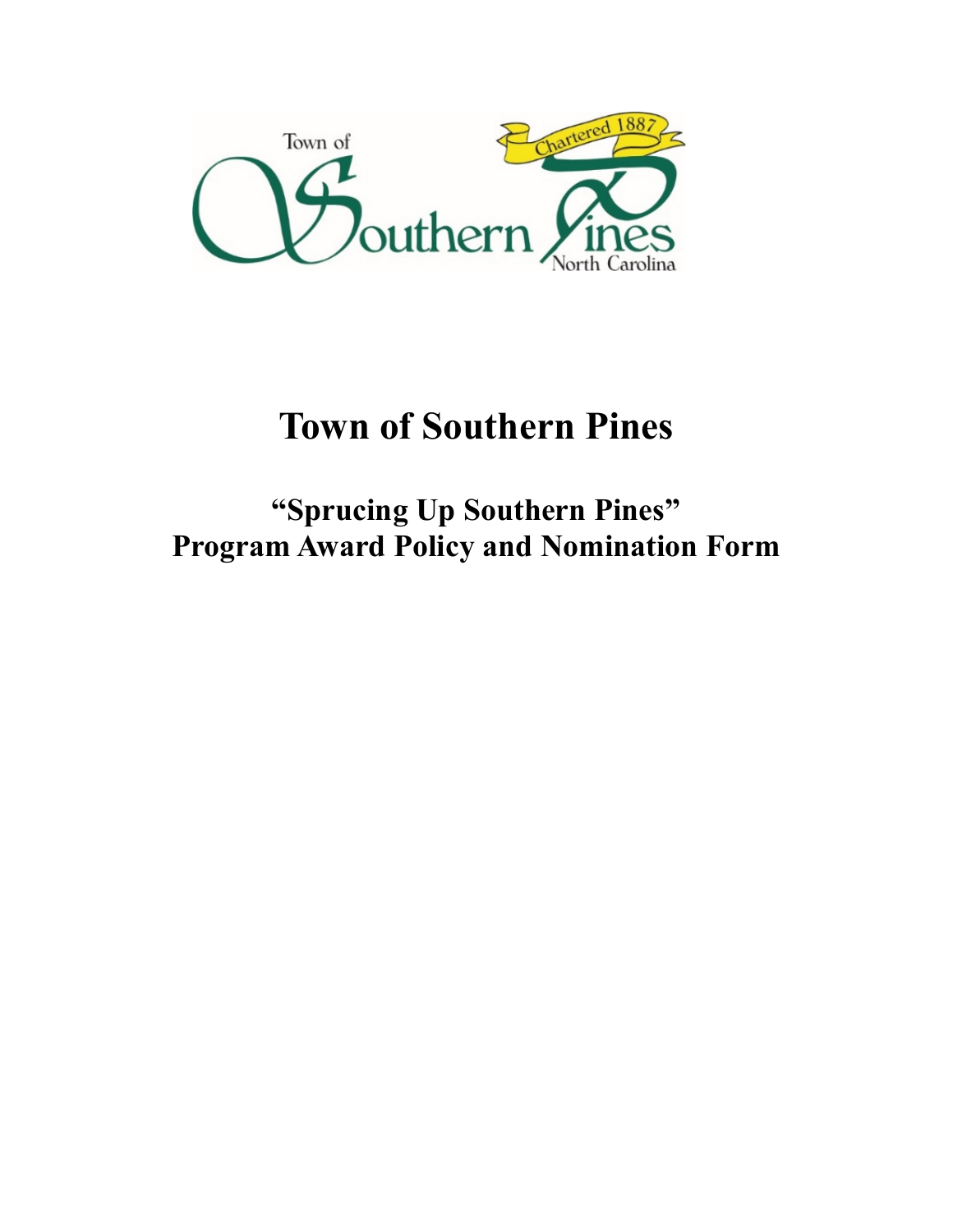

# **Town of Southern Pines**

**"Sprucing Up Southern Pines" Program Award Policy and Nomination Form**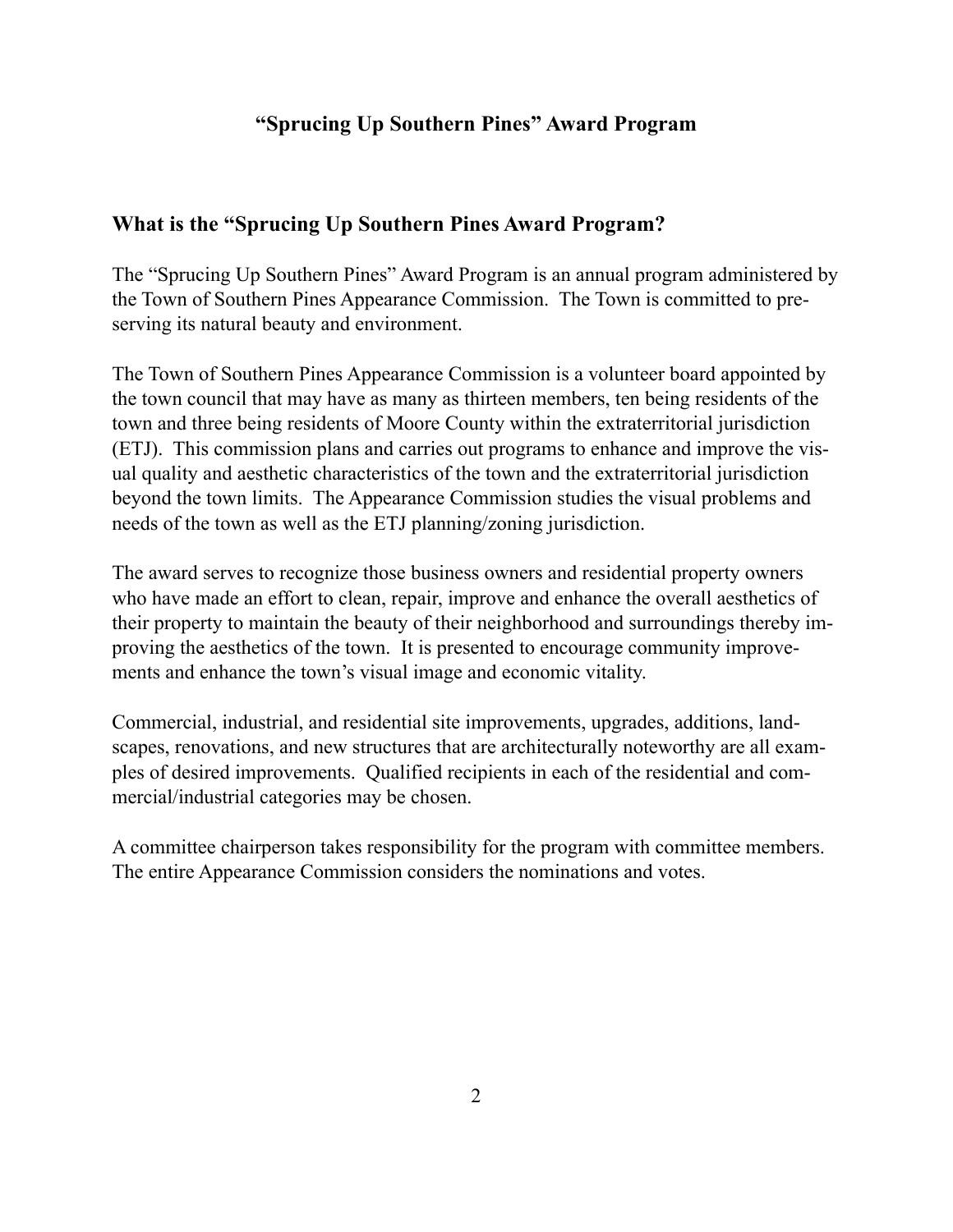## **"Sprucing Up Southern Pines" Award Program**

## **What is the "Sprucing Up Southern Pines Award Program?**

The "Sprucing Up Southern Pines" Award Program is an annual program administered by the Town of Southern Pines Appearance Commission. The Town is committed to preserving its natural beauty and environment.

The Town of Southern Pines Appearance Commission is a volunteer board appointed by the town council that may have as many as thirteen members, ten being residents of the town and three being residents of Moore County within the extraterritorial jurisdiction (ETJ). This commission plans and carries out programs to enhance and improve the visual quality and aesthetic characteristics of the town and the extraterritorial jurisdiction beyond the town limits. The Appearance Commission studies the visual problems and needs of the town as well as the ETJ planning/zoning jurisdiction.

The award serves to recognize those business owners and residential property owners who have made an effort to clean, repair, improve and enhance the overall aesthetics of their property to maintain the beauty of their neighborhood and surroundings thereby improving the aesthetics of the town. It is presented to encourage community improvements and enhance the town's visual image and economic vitality.

Commercial, industrial, and residential site improvements, upgrades, additions, landscapes, renovations, and new structures that are architecturally noteworthy are all examples of desired improvements. Qualified recipients in each of the residential and commercial/industrial categories may be chosen.

A committee chairperson takes responsibility for the program with committee members. The entire Appearance Commission considers the nominations and votes.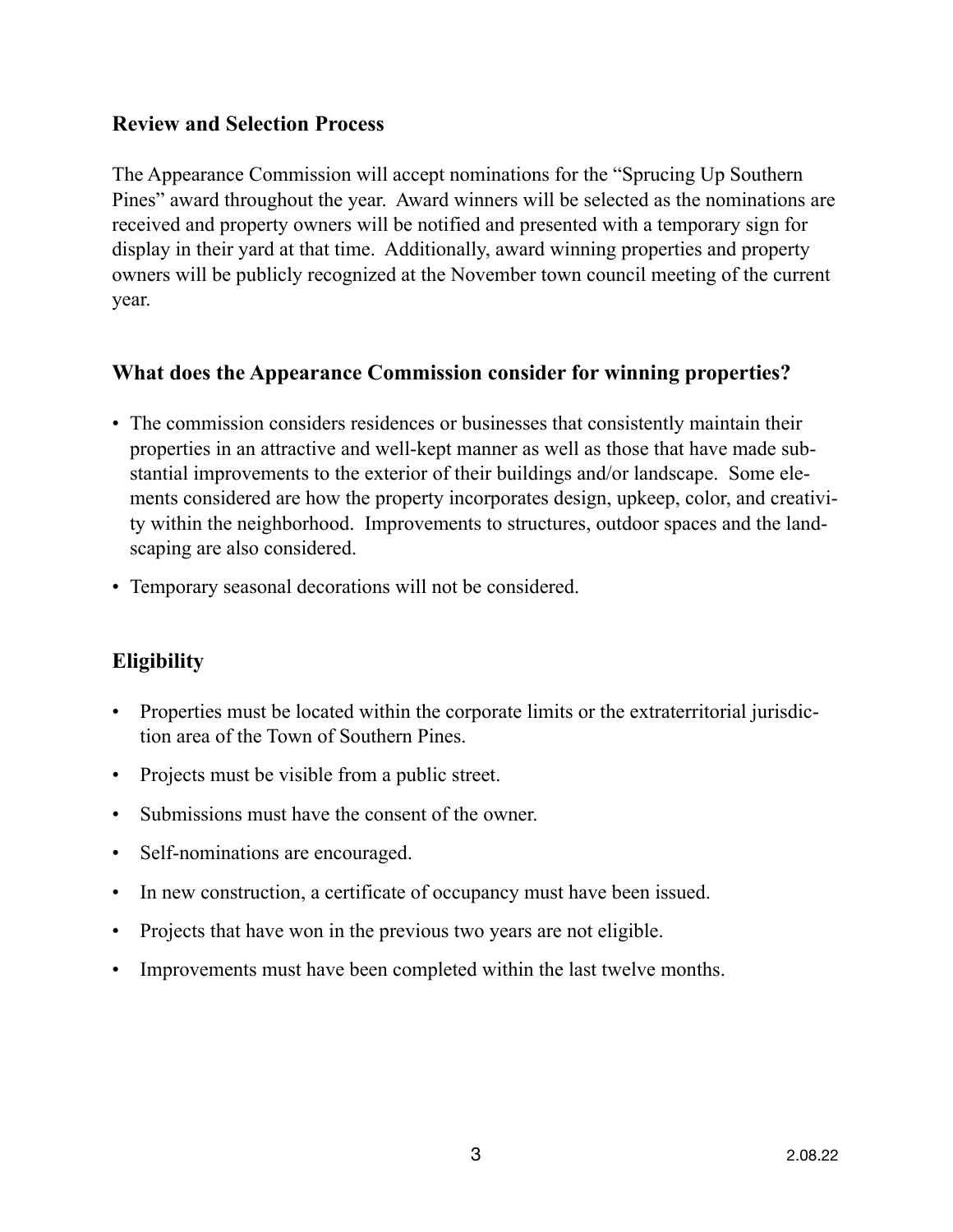#### **Review and Selection Process**

The Appearance Commission will accept nominations for the "Sprucing Up Southern Pines" award throughout the year. Award winners will be selected as the nominations are received and property owners will be notified and presented with a temporary sign for display in their yard at that time. Additionally, award winning properties and property owners will be publicly recognized at the November town council meeting of the current year.

## **What does the Appearance Commission consider for winning properties?**

- The commission considers residences or businesses that consistently maintain their properties in an attractive and well-kept manner as well as those that have made substantial improvements to the exterior of their buildings and/or landscape. Some elements considered are how the property incorporates design, upkeep, color, and creativity within the neighborhood. Improvements to structures, outdoor spaces and the landscaping are also considered.
- Temporary seasonal decorations will not be considered.

# **Eligibility**

- Properties must be located within the corporate limits or the extraterritorial jurisdiction area of the Town of Southern Pines.
- Projects must be visible from a public street.
- Submissions must have the consent of the owner.
- Self-nominations are encouraged.
- In new construction, a certificate of occupancy must have been issued.
- Projects that have won in the previous two years are not eligible.
- Improvements must have been completed within the last twelve months.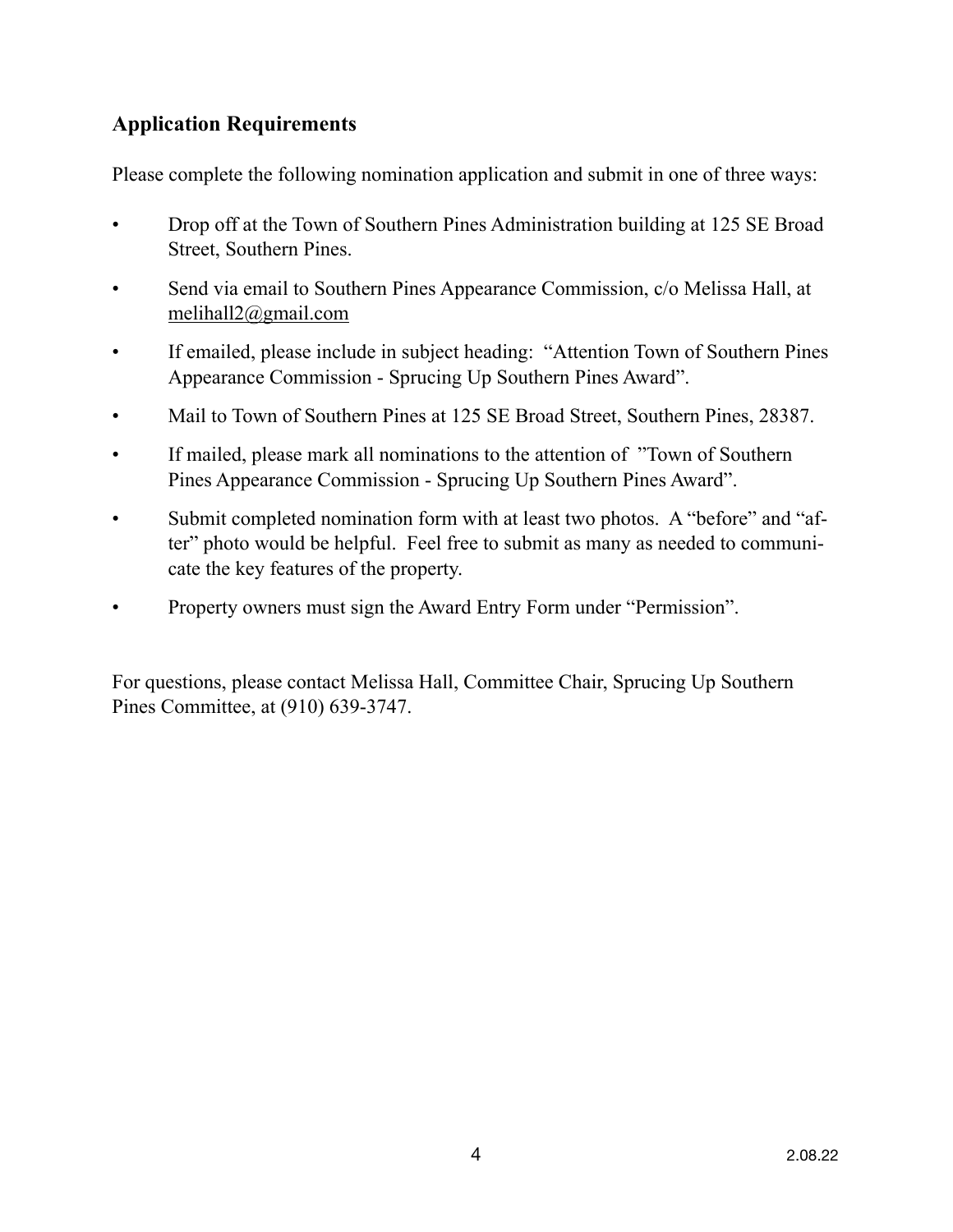## **Application Requirements**

Please complete the following nomination application and submit in one of three ways:

- Drop off at the Town of Southern Pines Administration building at 125 SE Broad Street, Southern Pines.
- Send via email to Southern Pines Appearance Commission, c/o Melissa Hall, at [melihall2@gmail.com](mailto:melihall2@gmail.com)
- If emailed, please include in subject heading: "Attention Town of Southern Pines Appearance Commission - Sprucing Up Southern Pines Award".
- Mail to Town of Southern Pines at 125 SE Broad Street, Southern Pines, 28387.
- If mailed, please mark all nominations to the attention of "Town of Southern Pines Appearance Commission - Sprucing Up Southern Pines Award".
- Submit completed nomination form with at least two photos. A "before" and "after" photo would be helpful. Feel free to submit as many as needed to communicate the key features of the property.
- Property owners must sign the Award Entry Form under "Permission".

For questions, please contact Melissa Hall, Committee Chair, Sprucing Up Southern Pines Committee, at (910) 639-3747.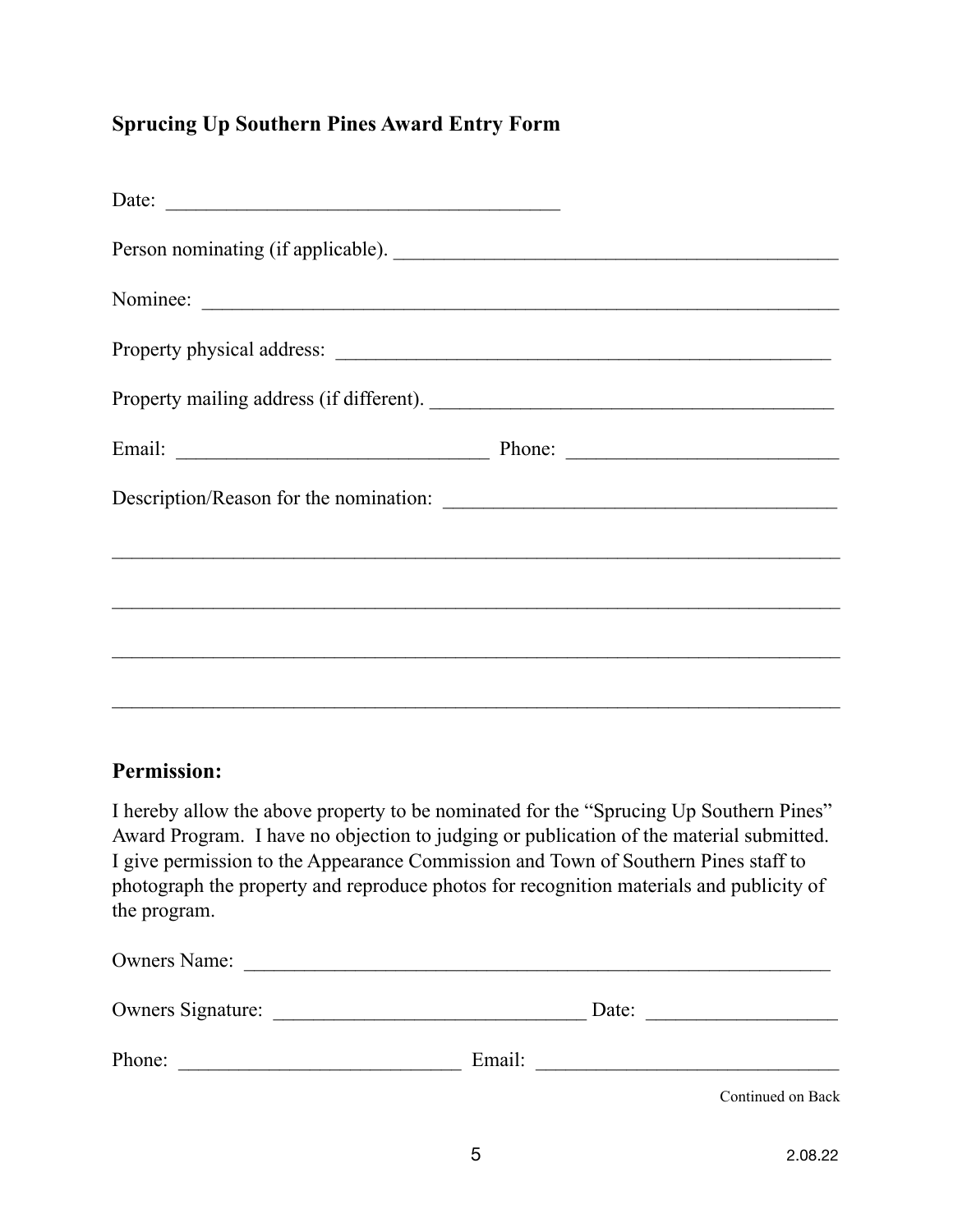# **Sprucing Up Southern Pines Award Entry Form**

| Date:                              |  |
|------------------------------------|--|
| Person nominating (if applicable). |  |
| Nominee:                           |  |
|                                    |  |
|                                    |  |
|                                    |  |
|                                    |  |
|                                    |  |
|                                    |  |
|                                    |  |
|                                    |  |

## **Permission:**

I hereby allow the above property to be nominated for the "Sprucing Up Southern Pines" Award Program. I have no objection to judging or publication of the material submitted. I give permission to the Appearance Commission and Town of Southern Pines staff to photograph the property and reproduce photos for recognition materials and publicity of the program.

| <b>Owners Name:</b>      |        |                   |
|--------------------------|--------|-------------------|
| <b>Owners Signature:</b> | Date:  |                   |
| Phone:                   | Email: |                   |
|                          |        | Continued on Back |